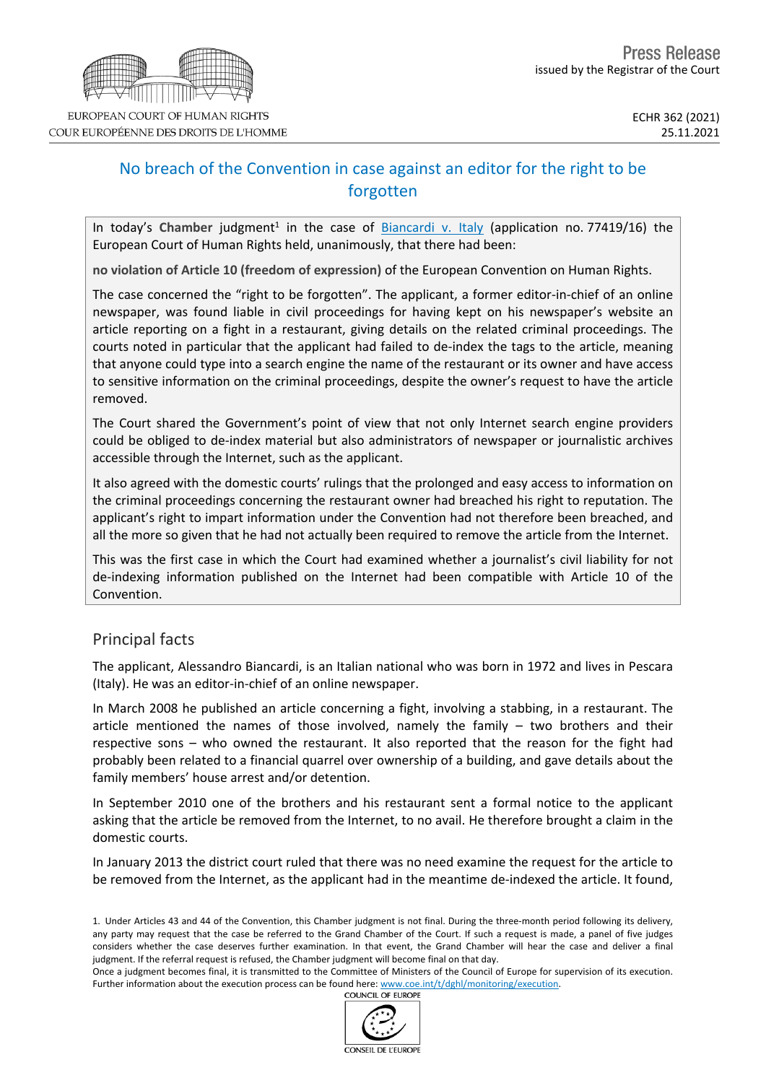

## No breach of the Convention in case against an editor for the right to be forgotten

In today's Chamber judgment<sup>1</sup> in the case of **[Biancardi](https://hudoc.echr.coe.int/eng?i=001-213827) v. Italy** (application no. 77419/16) the European Court of Human Rights held, unanimously, that there had been:

**no violation of Article 10 (freedom of expression)** of the European Convention on Human Rights.

The case concerned the "right to be forgotten". The applicant, a former editor-in-chief of an online newspaper, was found liable in civil proceedings for having kept on his newspaper's website an article reporting on a fight in a restaurant, giving details on the related criminal proceedings. The courts noted in particular that the applicant had failed to de-index the tags to the article, meaning that anyone could type into a search engine the name of the restaurant or its owner and have access to sensitive information on the criminal proceedings, despite the owner's request to have the article removed.

The Court shared the Government's point of view that not only Internet search engine providers could be obliged to de-index material but also administrators of newspaper or journalistic archives accessible through the Internet, such as the applicant.

It also agreed with the domestic courts' rulings that the prolonged and easy access to information on the criminal proceedings concerning the restaurant owner had breached his right to reputation. The applicant's right to impart information under the Convention had not therefore been breached, and all the more so given that he had not actually been required to remove the article from the Internet.

This was the first case in which the Court had examined whether a journalist's civil liability for not de-indexing information published on the Internet had been compatible with Article 10 of the Convention.

## Principal facts

The applicant, Alessandro Biancardi, is an Italian national who was born in 1972 and lives in Pescara (Italy). He was an editor-in-chief of an online newspaper.

In March 2008 he published an article concerning a fight, involving a stabbing, in a restaurant. The article mentioned the names of those involved, namely the family – two brothers and their respective sons – who owned the restaurant. It also reported that the reason for the fight had probably been related to a financial quarrel over ownership of a building, and gave details about the family members' house arrest and/or detention.

In September 2010 one of the brothers and his restaurant sent a formal notice to the applicant asking that the article be removed from the Internet, to no avail. He therefore brought a claim in the domestic courts.

In January 2013 the district court ruled that there was no need examine the request for the article to be removed from the Internet, as the applicant had in the meantime de-indexed the article. It found,

Once a judgment becomes final, it is transmitted to the Committee of Ministers of the Council of Europe for supervision of its execution. Further information about the execution process can be found here: [www.coe.int/t/dghl/monitoring/execution](http://www.coe.int/t/dghl/monitoring/execution). **COUNCIL OF EUROPE** 



<sup>1.</sup> Under Articles 43 and 44 of the Convention, this Chamber judgment is not final. During the three-month period following its delivery, any party may request that the case be referred to the Grand Chamber of the Court. If such a request is made, a panel of five judges considers whether the case deserves further examination. In that event, the Grand Chamber will hear the case and deliver a final judgment. If the referral request is refused, the Chamber judgment will become final on that day.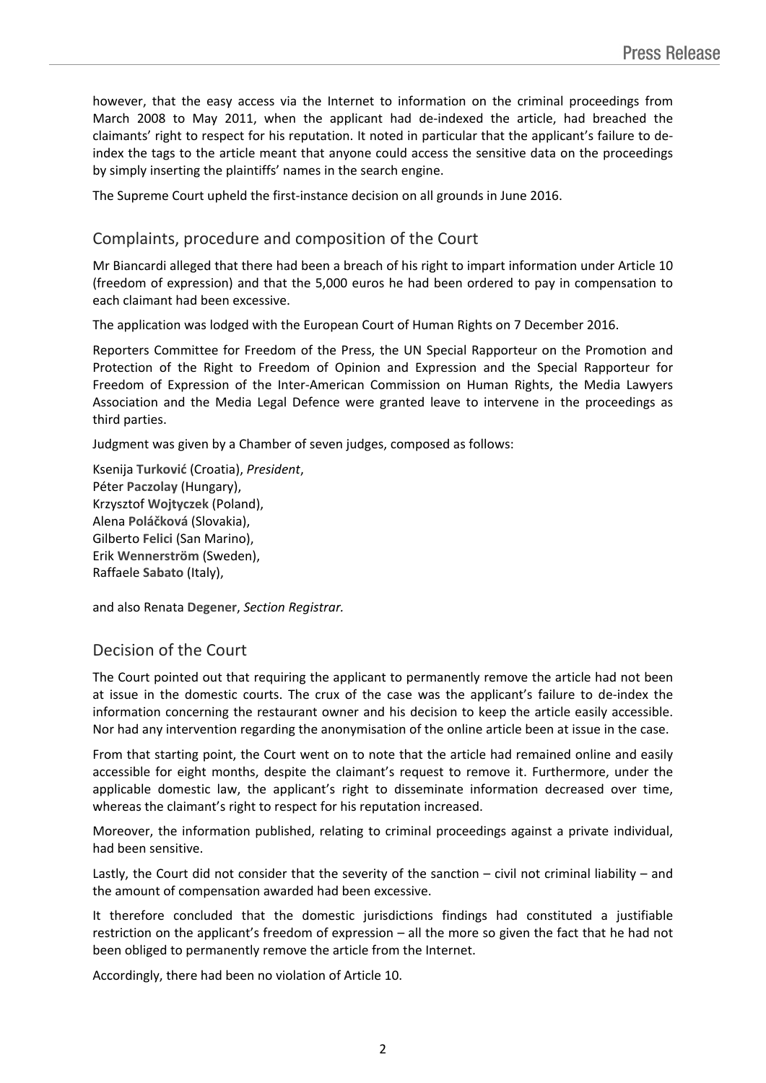however, that the easy access via the Internet to information on the criminal proceedings from March 2008 to May 2011, when the applicant had de-indexed the article, had breached the claimants' right to respect for his reputation. It noted in particular that the applicant's failure to deindex the tags to the article meant that anyone could access the sensitive data on the proceedings by simply inserting the plaintiffs' names in the search engine.

The Supreme Court upheld the first-instance decision on all grounds in June 2016.

## Complaints, procedure and composition of the Court

Mr Biancardi alleged that there had been a breach of his right to impart information under Article 10 (freedom of expression) and that the 5,000 euros he had been ordered to pay in compensation to each claimant had been excessive.

The application was lodged with the European Court of Human Rights on 7 December 2016.

Reporters Committee for Freedom of the Press, the UN Special Rapporteur on the Promotion and Protection of the Right to Freedom of Opinion and Expression and the Special Rapporteur for Freedom of Expression of the Inter-American Commission on Human Rights, the Media Lawyers Association and the Media Legal Defence were granted leave to intervene in the proceedings as third parties.

Judgment was given by a Chamber of seven judges, composed as follows:

Ksenija **Turković** (Croatia), *President*, Péter **Paczolay** (Hungary), Krzysztof **Wojtyczek** (Poland), Alena **Poláčková** (Slovakia), Gilberto **Felici** (San Marino), Erik **Wennerström** (Sweden), Raffaele **Sabato** (Italy),

and also Renata **Degener**, *Section Registrar.*

## Decision of the Court

The Court pointed out that requiring the applicant to permanently remove the article had not been at issue in the domestic courts. The crux of the case was the applicant's failure to de-index the information concerning the restaurant owner and his decision to keep the article easily accessible. Nor had any intervention regarding the anonymisation of the online article been at issue in the case.

From that starting point, the Court went on to note that the article had remained online and easily accessible for eight months, despite the claimant's request to remove it. Furthermore, under the applicable domestic law, the applicant's right to disseminate information decreased over time, whereas the claimant's right to respect for his reputation increased.

Moreover, the information published, relating to criminal proceedings against a private individual, had been sensitive.

Lastly, the Court did not consider that the severity of the sanction – civil not criminal liability – and the amount of compensation awarded had been excessive.

It therefore concluded that the domestic jurisdictions findings had constituted a justifiable restriction on the applicant's freedom of expression – all the more so given the fact that he had not been obliged to permanently remove the article from the Internet.

Accordingly, there had been no violation of Article 10.